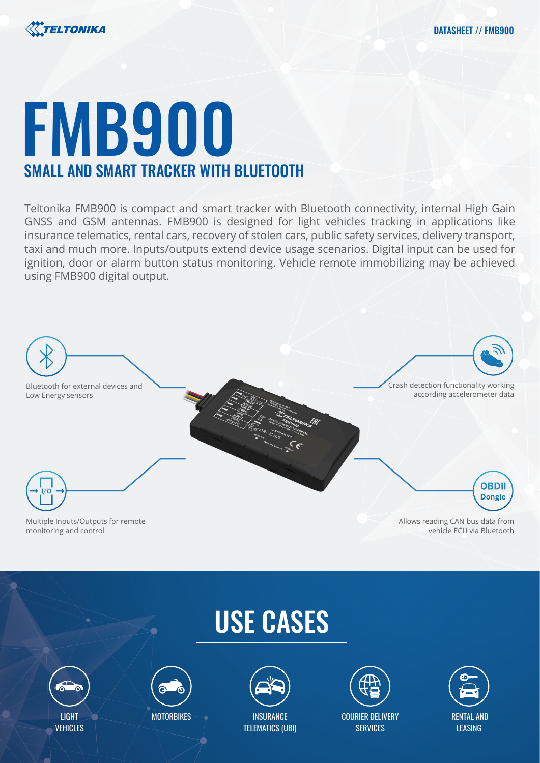



# FMB900 SMALL AND SMART TRACKER WITH BLUETOOTH

Teltonika FMB900 is compact and smart tracker with Bluetooth connectivity, internal High Gain GNSS and GSM antennas. FMB900 is designed for light vehicles tracking in applications like insurance telematics, rental cars, recovery of stolen cars, public safety services, delivery transport, taxi and much more. Inputs/outputs extend device usage scenarios. Digital input can be used for ignition, door or alarm button status monitoring. Vehicle remote immobilizing may be achieved using FMB900 digital output.



monitoring and control

vehicle ECU via Bluetooth

# USE CASES





**MOTORBIKES** 



TELEMATICS (UBI)



COURIER DELIVERY **SERVICES** 

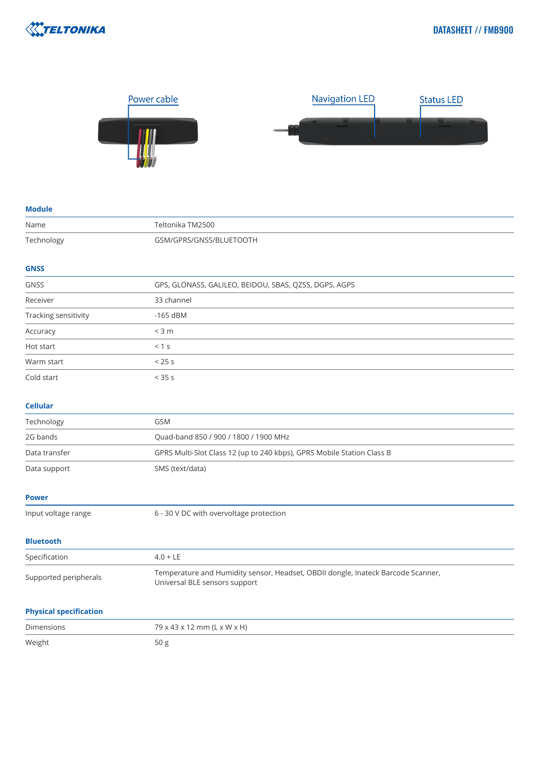



### **Module**

| Name                          | Teltonika TM2500                                                                                                  |
|-------------------------------|-------------------------------------------------------------------------------------------------------------------|
| Technology                    | GSM/GPRS/GNSS/BLUETOOTH                                                                                           |
| <b>GNSS</b>                   |                                                                                                                   |
| <b>GNSS</b>                   | GPS, GLONASS, GALILEO, BEIDOU, SBAS, QZSS, DGPS, AGPS                                                             |
| Receiver                      | 33 channel                                                                                                        |
| Tracking sensitivity          | $-165$ dBM                                                                                                        |
| Accuracy                      | $<$ 3 m                                                                                                           |
| Hot start                     | < 1 s                                                                                                             |
| Warm start                    | < 25 s                                                                                                            |
| Cold start                    | < 35 s                                                                                                            |
| <b>Cellular</b>               |                                                                                                                   |
| Technology                    | GSM                                                                                                               |
| 2G bands                      | Quad-band 850 / 900 / 1800 / 1900 MHz                                                                             |
| Data transfer                 | GPRS Multi-Slot Class 12 (up to 240 kbps), GPRS Mobile Station Class B                                            |
| Data support                  | SMS (text/data)                                                                                                   |
| <b>Power</b>                  |                                                                                                                   |
| Input voltage range           | 6 - 30 V DC with overvoltage protection                                                                           |
| <b>Bluetooth</b>              |                                                                                                                   |
| Specification                 | $4.0 + LE$                                                                                                        |
| Supported peripherals         | Temperature and Humidity sensor, Headset, OBDII dongle, Inateck Barcode Scanner,<br>Universal BLE sensors support |
| <b>Physical specification</b> |                                                                                                                   |
| <b>Dimensions</b>             | 79 x 43 x 12 mm (L x W x H)                                                                                       |
| Weight                        | 50g                                                                                                               |